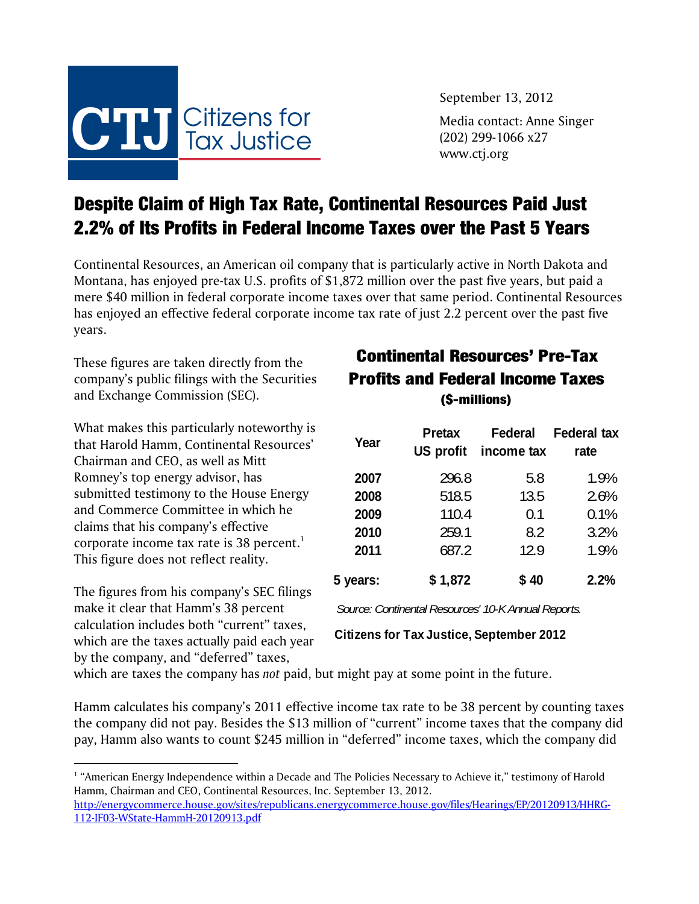

September 13, 2012

Media contact: Anne Singer (202) 299-1066 x27 www.ctj.org

## Despite Claim of High Tax Rate, Continental Resources Paid Just 2.2% of Its Profits in Federal Income Taxes over the Past 5 Years

Continental Resources, an American oil company that is particularly active in North Dakota and Montana, has enjoyed pre-tax U.S. profits of \$1,872 million over the past five years, but paid a mere \$40 million in federal corporate income taxes over that same period. Continental Resources has enjoyed an effective federal corporate income tax rate of just 2.2 percent over the past five years.

These figures are taken directly from the company's public filings with the Securities and Exchange Commission (SEC).

What makes this particularly noteworthy is that Harold Hamm, Continental Resources' Chairman and CEO, as well as Mitt Romney's top energy advisor, has submitted testimony to the House Energy and Commerce Committee in which he claims that his company's effective corporate income tax rate is 38 percent.<sup>1</sup> This figure does not reflect reality.

The figures from his company's SEC filings make it clear that Hamm's 38 percent calculation includes both "current" taxes, which are the taxes actually paid each year by the company, and "deferred" taxes,

 $\overline{a}$ 

## Continental Resources' Pre-Tax Profits and Federal Income Taxes (\$-millions)

| Year     | Pretax<br>US profit | Federal<br>income tax | <b>Federal tax</b><br>rate |
|----------|---------------------|-----------------------|----------------------------|
| 2007     | 296.8               | 5.8                   | 1.9%                       |
| 2008     | 518.5               | 13.5                  | 2.6%                       |
| 2009     | 110.4               | 0.1                   | 0.1%                       |
| 2010     | 259.1               | 8.2                   | 3.2%                       |
| 2011     | 687.2               | 12.9                  | 1.9%                       |
| 5 years: | \$1,872             | \$40                  | 2.2%                       |

*Source: Continental Resources' 10-K Annual Reports.*

**Citizens for Tax Justice, September 2012**

which are taxes the company has *not* paid, but might pay at some point in the future.

Hamm calculates his company's 2011 effective income tax rate to be 38 percent by counting taxes the company did not pay. Besides the \$13 million of "current" income taxes that the company did pay, Hamm also wants to count \$245 million in "deferred" income taxes, which the company did

<sup>&</sup>lt;sup>1</sup> "American Energy Independence within a Decade and The Policies Necessary to Achieve it," testimony of Harold Hamm, Chairman and CEO, Continental Resources, Inc. September 13, 2012.

http://energycommerce.house.gov/sites/republicans.energycommerce.house.gov/files/Hearings/EP/20120913/HHRG-112-IF03-WState-HammH-20120913.pdf